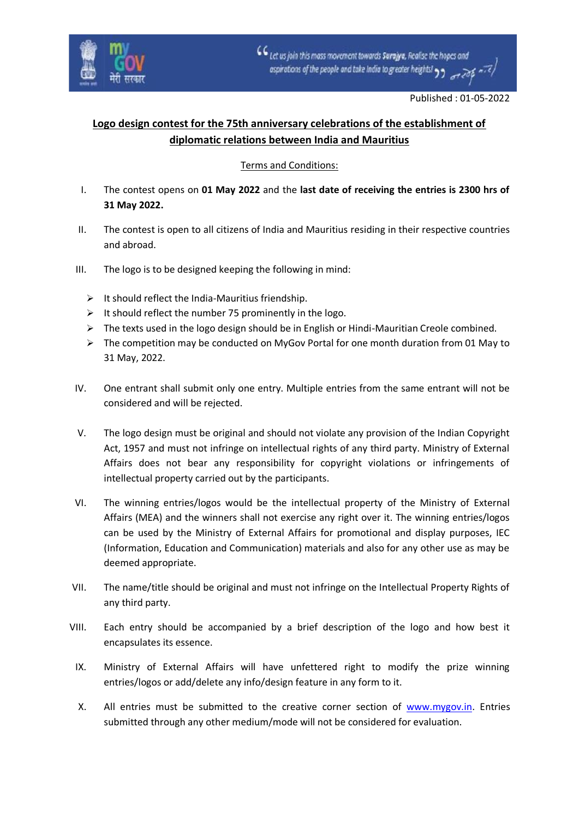

## **Logo design contest for the 75th anniversary celebrations of the establishment of diplomatic relations between India and Mauritius**

## Terms and Conditions:

- I. The contest opens on **01 May 2022** and the **last date of receiving the entries is 2300 hrs of 31 May 2022.**
- II. The contest is open to all citizens of India and Mauritius residing in their respective countries and abroad.
- III. The logo is to be designed keeping the following in mind:
	- $\triangleright$  It should reflect the India-Mauritius friendship.
	- ➢ It should reflect the number 75 prominently in the logo.
	- $\triangleright$  The texts used in the logo design should be in English or Hindi-Mauritian Creole combined.
	- $\triangleright$  The competition may be conducted on MyGov Portal for one month duration from 01 May to 31 May, 2022.
- IV. One entrant shall submit only one entry. Multiple entries from the same entrant will not be considered and will be rejected.
- V. The logo design must be original and should not violate any provision of the Indian Copyright Act, 1957 and must not infringe on intellectual rights of any third party. Ministry of External Affairs does not bear any responsibility for copyright violations or infringements of intellectual property carried out by the participants.
- VI. The winning entries/logos would be the intellectual property of the Ministry of External Affairs (MEA) and the winners shall not exercise any right over it. The winning entries/logos can be used by the Ministry of External Affairs for promotional and display purposes, IEC (Information, Education and Communication) materials and also for any other use as may be deemed appropriate.
- VII. The name/title should be original and must not infringe on the Intellectual Property Rights of any third party.
- VIII. Each entry should be accompanied by a brief description of the logo and how best it encapsulates its essence.
- IX. Ministry of External Affairs will have unfettered right to modify the prize winning entries/logos or add/delete any info/design feature in any form to it.
- X. All entries must be submitted to the creative corner section of [www.mygov.in.](http://www.mygov.in/) Entries submitted through any other medium/mode will not be considered for evaluation.